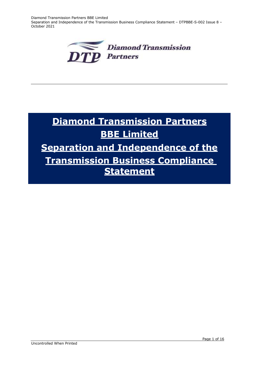Diamond Transmission Partners BBE Limited Separation and Independence of the Transmission Business Compliance Statement – DTPBBE-S-002 Issue 8 – October 2021



# **Diamond Transmission Partners BBE Limited Separation and Independence of the Transmission Business Compliance Statement**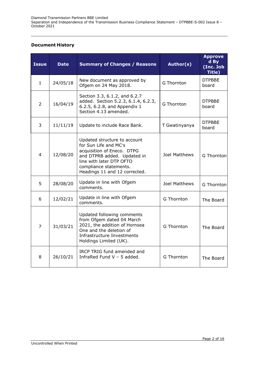# **Document History**

| <b>Issue</b>   | <b>Date</b> | <b>Summary of Changes / Reasons</b>                                                                                                                                                                       | Author(s)         | <b>Approve</b><br>d By<br>(Inc. Job<br>Title) |
|----------------|-------------|-----------------------------------------------------------------------------------------------------------------------------------------------------------------------------------------------------------|-------------------|-----------------------------------------------|
| $\mathbf{1}$   | 24/05/18    | New document as approved by<br>Ofgem on 24 May 2018.                                                                                                                                                      | <b>G</b> Thornton | <b>DTPBBE</b><br>board                        |
| $\overline{2}$ | 16/04/19    | Section 3.3, 6.1.2, and 6.2.7<br>added. Section 5.2.3, 6.1.4, 6.2.3,<br>6.2.5, 6.2.8, and Appendix 1<br>Section 4.13 amended.                                                                             | <b>G</b> Thornton | <b>DTPBBE</b><br>board                        |
| 3              | 11/11/19    | Update to include Race Bank.                                                                                                                                                                              | T Gwatinyanya     | <b>DTPBBE</b><br>board                        |
| $\overline{4}$ | 12/08/20    | Updated structure to account<br>for Sun Life and MC's<br>acquisition of Eneco. DTPG<br>and DTPRB added. Updated in<br>line with later DTP OFTO<br>compliance statements.<br>Headings 11 and 12 corrected. | Joel Matthews     | <b>G</b> Thornton                             |
| 5              | 28/08/20    | Update in line with Ofgem<br>comments.                                                                                                                                                                    | Joel Matthews     | G Thornton                                    |
| 6              | 12/02/21    | Update in line with Ofgem<br>comments.                                                                                                                                                                    | G Thornton        | The Board                                     |
| $\overline{7}$ | 31/03/21    | Updated following comments<br>from Ofgem dated 04 March<br>2021, the addition of Hornsea<br>One and the deletion of<br>Infrastructure Investments<br>Holdings Limited (UK).                               | <b>G</b> Thornton | The Board                                     |
| 8              | 26/10/21    | IRCP TRIG fund amended and<br>InfraRed Fund $V - 5$ added.                                                                                                                                                | G Thornton        | The Board                                     |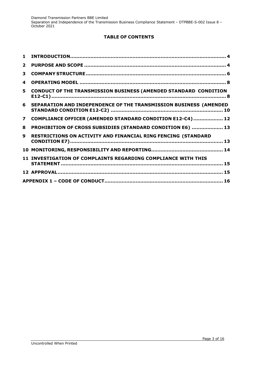# **TABLE OF CONTENTS**

| $\mathbf 1$    |                                                                         |  |
|----------------|-------------------------------------------------------------------------|--|
| $\mathbf{2}$   |                                                                         |  |
| 3              |                                                                         |  |
| 4              |                                                                         |  |
| 5              | <b>CONDUCT OF THE TRANSMISSION BUSINESS (AMENDED STANDARD CONDITION</b> |  |
|                | 6 SEPARATION AND INDEPENDENCE OF THE TRANSMISSION BUSINESS (AMENDED     |  |
| $\overline{7}$ | COMPLIANCE OFFICER (AMENDED STANDARD CONDITION E12-C4)  12              |  |
| 8              | PROHIBITION OF CROSS SUBSIDIES (STANDARD CONDITION E6)  13              |  |
| q              | RESTRICTIONS ON ACTIVITY AND FINANCIAL RING FENCING (STANDARD           |  |
|                |                                                                         |  |
|                | 11 INVESTIGATION OF COMPLAINTS REGARDING COMPLIANCE WITH THIS           |  |
|                |                                                                         |  |
|                |                                                                         |  |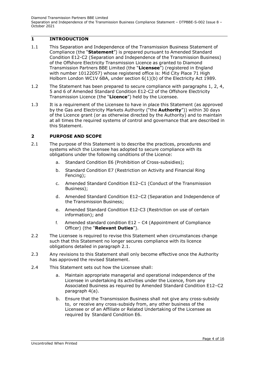# <span id="page-3-0"></span>**1 INTRODUCTION**

- 1.1 This Separation and Independence of the Transmission Business Statement of Compliance (the "**Statement**") is prepared pursuant to Amended Standard Condition E12-C2 (Separation and Independence of the Transmission Business) of the Offshore Electricity Transmission Licence as granted to Diamond Transmission Partners BBE Limited (the "**Licensee**") (registered in England with number 10122057) whose registered office is: Mid City Place 71 High Holborn London WC1V 6BA, under section 6(1)(b) of the Electricity Act 1989.
- 1.2 The Statement has been prepared to secure compliance with paragraphs 1, 2, 4, 5 and 6 of Amended Standard Condition E12-C2 of the Offshore Electricity Transmission Licence (the "**Licence**") held by the Licensee.
- 1.3 It is a requirement of the Licensee to have in place this Statement (as approved by the Gas and Electricity Markets Authority ("the **Authority**")) within 30 days of the Licence grant (or as otherwise directed by the Authority) and to maintain at all times the required systems of control and governance that are described in this Statement.

## <span id="page-3-1"></span>**2 PURPOSE AND SCOPE**

- 2.1 The purpose of this Statement is to describe the practices, procedures and systems which the Licensee has adopted to secure compliance with its obligations under the following conditions of the Licence:
	- a. Standard Condition E6 (Prohibition of Cross-subsidies);
	- b. Standard Condition E7 (Restriction on Activity and Financial Ring Fencing);
	- c. Amended Standard Condition E12–C1 (Conduct of the Transmission Business);
	- d. Amended Standard Condition E12–C2 (Separation and Independence of the Transmission Business;
	- e. Amended Standard Condition E12-C3 (Restriction on use of certain information); and
	- f. Amended standard condition E12 C4 (Appointment of Compliance Officer) (the "**Relevant Duties**").
- 2.2 The Licensee is required to revise this Statement when circumstances change such that this Statement no longer secures compliance with its licence obligations detailed in paragraph 2.1.
- 2.3 Any revisions to this Statement shall only become effective once the Authority has approved the revised Statement.
- 2.4 This Statement sets out how the Licensee shall:
	- a. Maintain appropriate managerial and operational independence of the Licensee in undertaking its activities under the Licence, from any Associated Business as required by Amended Standard Condition E12–C2 paragraph 4(a).
	- b. Ensure that the Transmission Business shall not give any cross-subsidy to, or receive any cross-subsidy from, any other business of the Licensee or of an Affiliate or Related Undertaking of the Licensee as required by Standard Condition E6.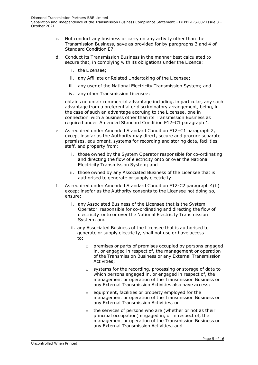- c. Not conduct any business or carry on any activity other than the Transmission Business, save as provided for by paragraphs 3 and 4 of Standard Condition E7.
- d. Conduct its Transmission Business in the manner best calculated to secure that, in complying with its obligations under the Licence:
	- i. the Licensee;
	- ii. any Affiliate or Related Undertaking of the Licensee;
	- iii. any user of the National Electricity Transmission System; and
	- iv. any other Transmission Licensee;

obtains no unfair commercial advantage including, in particular, any such advantage from a preferential or discriminatory arrangement, being, in the case of such an advantage accruing to the Licensee, one in connection with a business other than its Transmission Business as required under Amended Standard Condition E12–C1 paragraph 1.

- e. As required under Amended Standard Condition E12–C1 paragraph 2, except insofar as the Authority may direct, secure and procure separate premises, equipment, systems for recording and storing data, facilities, staff, and property from:
	- i. those owned by the System Operator responsible for co-ordinating and directing the flow of electricity onto or over the National Electricity Transmission System; and
	- ii. those owned by any Associated Business of the Licensee that is authorised to generate or supply electricity.
- f. As required under Amended Standard Condition E12-C2 paragraph 4(b) except insofar as the Authority consents to the Licensee not doing so, ensure:
	- i. any Associated Business of the Licensee that is the System Operator responsible for co-ordinating and directing the flow of electricity onto or over the National Electricity Transmission System; and
	- ii. any Associated Business of the Licensee that is authorised to generate or supply electricity, shall not use or have access to:
		- o premises or parts of premises occupied by persons engaged in, or engaged in respect of, the management or operation of the Transmission Business or any External Transmission Activities;
		- o systems for the recording, processing or storage of data to which persons engaged in, or engaged in respect of, the management or operation of the Transmission Business or any External Transmission Activities also have access;
		- o equipment, facilities or property employed for the management or operation of the Transmission Business or any External Transmission Activities; or
		- o the services of persons who are (whether or not as their principal occupation) engaged in, or in respect of, the management or operation of the Transmission Business or any External Transmission Activities; and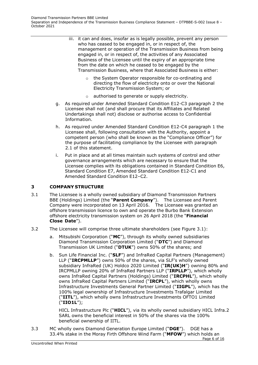- iii. it can and does, insofar as is legally possible, prevent any person who has ceased to be engaged in, or in respect of, the management or operation of the Transmission Business from being engaged in, or in respect of, the activities of any Associated Business of the Licensee until the expiry of an appropriate time from the date on which he ceased to be engaged by the Transmission Business, where that Associated Business is either:
	- o the System Operator responsible for co-ordinating and directing the flow of electricity onto or over the National Electricity Transmission System; or
	- o authorised to generate or supply electricity.
- g. As required under Amended Standard Condition E12-C3 paragraph 2 the Licensee shall not (and shall procure that its Affiliates and Related Undertakings shall not) disclose or authorise access to Confidential Information.
- h. As required under Amended Standard Condition E12-C4 paragraph 1 the Licensee shall, following consultation with the Authority, appoint a competent person (who shall be known as the "Compliance Officer") for the purpose of facilitating compliance by the Licensee with paragraph 2.1 of this statement.
- i. Put in place and at all times maintain such systems of control and other governance arrangements which are necessary to ensure that the Licensee complies with its obligations contained in Standard Condition E6, Standard Condition E7, Amended Standard Condition E12-C1 and Amended Standard Condition E12–C2.

# <span id="page-5-0"></span>**3 COMPANY STRUCTURE**

- 3.1 The Licensee is a wholly owned subsidiary of Diamond Transmission Partners BBE (Holdings) Limited (the "**Parent Company**"). The Licensee and Parent Company were incorporated on 13 April 2016. The Licensee was granted an offshore transmission licence to own and operate the Burbo Bank Extension offshore electricity transmission system on 26 April 2018 (the "**Financial Close Date**").
- 3.2 The Licensee will comprise three ultimate shareholders (see Figure 3.1):
	- a. Mitsubishi Corporation ("**MC**"), through its wholly owned subsidiaries Diamond Transmission Corporation Limited ("**DTC**") and Diamond Transmission UK Limited ("**DTUK**") owns 50% of the shares; and
	- b. Sun Life Financial Inc. ("**SLF**") and InfraRed Capital Partners (Management) LLP ("**IRCPMLLP**") owns 50% of the shares, via SLF's wholly owned subsidiary InfraRed (UK) Holdco 2020 Limited ("**IR(UK)H**") owning 80% and IRCPMLLP owning 20% of InfraRed Partners LLP ("**IRPLLP**"), which wholly owns InfraRed Capital Partners (Holdings) Limited ("**IRCPHL**"), which wholly owns InfraRed Capital Partners Limited ("**IRCPL**"), which wholly owns Infrastructure Investments General Partner Limited ("**IIGPL**"), which has the 100% legal ownership of Infrastructure Investments Trafalgar Limited ("**IITL**"), which wholly owns Infrastructure Investments OFTO1 Limited ("**IIO1L**");

HICL Infrastructure Plc ("**HICL**"), via its wholly owned subsidiary HICL Infra.2 SARL owns the beneficial interest in 50% of the shares via the 100% beneficial ownership of IITL.

Page 6 of 16 3.3 MC wholly owns Diamond Generation Europe Limited ("**DGE**"). DGE has a 33.4% stake in the Moray Firth Offshore Wind Farm ("**MFOW**") which holds an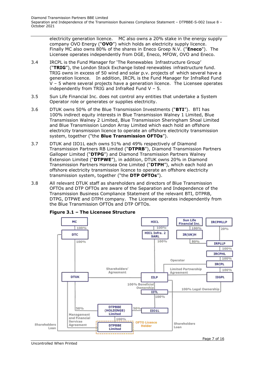electricity generation licence. MC also owns a 20% stake in the energy supply company OVO Energy ("**OVO**") which holds an electricity supply licence. Finally MC also owns 80% of the shares in Eneco Groep N.V. ("**Eneco**"). The Licensee operates independently from DGE, Eneco, MFOW, OVO and Eneco.

- 3.4 IRCPL is the Fund Manager for 'The Renewables Infrastructure Group' ("**TRIG**"), the London Stock Exchange listed renewables infrastructure fund. TRIG owns in excess of 50 wind and solar p.v. projects of which several have a generation licence. In addition, IRCPL is the Fund Manager for InfraRed Fund V – 5 where several projects have a generation licence. The Licensee operates independently from TRIG and InfraRed Fund V – 5.
- 3.5 Sun Life Financial Inc. does not control any entities that undertake a System Operator role or generates or supplies electricity.
- 3.6 DTUK owns 50% of the Blue Transmission Investments ("**BTI**"). BTI has 100% indirect equity interests in Blue Transmission Walney 1 Limited, Blue Transmission Walney 2 Limited, Blue Transmission Sheringham Shoal Limited and Blue Transmission London Array Limited which each hold an offshore electricity transmission licence to operate an offshore electricity transmission system, together ("the **Blue Transmission OFTOs**").
- 3.7 DTUK and IIO1L each owns 51% and 49% respectively of Diamond Transmission Partners RB Limited ("**DTPRB**"), Diamond Transmission Partners Galloper Limited ("**DTPG**") and Diamond Transmission Partners Walney Extension Limited ("**DTPWE**"), in addition, DTUK owns 20% in Diamond Transmission Partners Hornsea One Limited ("**DTPH**"), which each hold an offshore electricity transmission licence to operate an offshore electricity transmission system, together ("the **DTP OFTOs**").
- 3.8 All relevant DTUK staff as shareholders and directors of Blue Transmission OFTOs and DTP OFTOs are aware of the Separation and Independence of the Transmission Business Compliance Statement of the relevant BTI, DTPRB, DTPG, DTPWE and DTPH company. The Licensee operates independently from the Blue Transmission OFTOs and DTP OFTOs.



**Figure 3.1 – The Licensee Structure**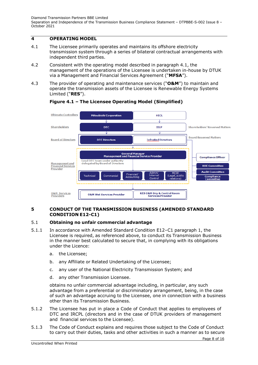# <span id="page-7-0"></span>**4 OPERATING MODEL**

- 4.1 The Licensee primarily operates and maintains its offshore electricity transmission system through a series of bilateral contractual arrangements with independent third parties.
- 4.2 Consistent with the operating model described in paragraph 4.1, the management of the operations of the Licensee is undertaken in-house by DTUK via a Management and Financial Services Agreement ("**MFSA**").
- 4.3 The provider of operating and maintenance services ("**O&M**") to maintain and operate the transmission assets of the Licensee is Renewable Energy Systems Limited ("**RES**").



# **Figure 4.1 – The Licensee Operating Model (Simplified)**

## <span id="page-7-1"></span>**5 CONDUCT OF THE TRANSMISSION BUSINESS (AMENDED STANDARD CONDITION E12-C1)**

## 5.1 **Obtaining no unfair commercial advantage**

- 5.1.1 In accordance with Amended Standard Condition E12–C1 paragraph 1, the Licensee is required, as referenced above, to conduct its Transmission Business in the manner best calculated to secure that, in complying with its obligations under the Licence:
	- a. the Licensee;
	- b. any Affiliate or Related Undertaking of the Licensee;
	- c. any user of the National Electricity Transmission System; and
	- d. any other Transmission Licensee.

obtains no unfair commercial advantage including, in particular, any such advantage from a preferential or discriminatory arrangement, being, in the case of such an advantage accruing to the Licensee, one in connection with a business other than its Transmission Business.

- 5.1.2 The Licensee has put in place a Code of Conduct that applies to employees of DTC and IRCPL (directors and in the case of DTUK providers of management and financial services to the Licensee).
- 5.1.3 The Code of Conduct explains and requires those subject to the Code of Conduct to carry out their duties, tasks and other activities in such a manner as to secure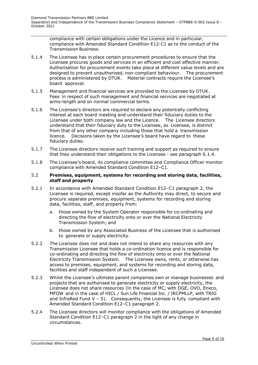compliance with certain obligations under the Licence and in particular, compliance with Amended Standard Condition E12-C1 as to the conduct of the Transmission Business.

- 5.1.4 The Licensee has in place certain procurement procedures to ensure that the Licensee procures goods and services in an efficient and cost effective manner. Authorisation for procurement events take place at different value levels and are designed to prevent unauthorised, non-compliant behaviour. The procurement process is administered by DTUK. Material contracts require the Licensee's board approval.
- 5.1.5 Management and financial services are provided to the Licensee by DTUK. Fees in respect of such management and financial services are negotiated at arms-length and on normal commercial terms.
- 5.1.6 The Licensee's directors are required to declare any potentially conflicting interest at each board meeting and understand their fiduciary duties to the Licensee under both company law and the Licence. The Licensee directors understand that their fiduciary duty to the Licensee, as Licensee, is distinct from that of any other company including those that hold a transmission licence. Decisions taken by the Licensee's board have regard to these fiduciary duties.
- 5.1.7 The Licensee directors receive such training and support as required to ensure that they understand their obligations to the Licensee - see paragraph 6.1.4.
- 5.1.8 The Licensee's board, its compliance committee and Compliance Officer monitor compliance with Amended Standard Condition E12–C1.

#### 5.2 **Premises, equipment, systems for recording and storing data, facilities, staff and property**

- 5.2.1 In accordance with Amended Standard Condition E12–C1 paragraph 2, the Licensee is required, except insofar as the Authority may direct, to secure and procure separate premises, equipment, systems for recording and storing data, facilities, staff, and property from:
	- a. those owned by the System Operator responsible for co-ordinating and directing the flow of electricity onto or over the National Electricity Transmission System; and
	- b. those owned by any Associated Business of the Licensee that is authorised to generate or supply electricity.
- 5.2.2 The Licensee does not and does not intend to share any resources with any Transmission Licensee that holds a co-ordination licence and is responsible for co-ordinating and directing the flow of electricity onto or over the National Electricity Transmission System. The Licensee owns, rents, or otherwise has access to premises, equipment, and systems for recording and storing data, facilities and staff independent of such a Licensee.
- 5.2.3 Whilst the Licensee's ultimate parent companies own or manage businesses and projects that are authorised to generate electricity or supply electricity, the Licensee does not share resources (in the case of MC, with DGE, OVO, Eneco, MFOW and in the case of HICL / Sun Life Financial Inc. / IRCPMLLP, with TRIG and InfraRed Fund  $V - 5$ ). Consequently, the Licensee is fully compliant with Amended Standard Condition E12–C1 paragraph 2.
- 5.2.4 The Licensee directors will monitor compliance with the obligations of Amended Standard Condition E12–C1 paragraph 2 in the light of any change in circumstances.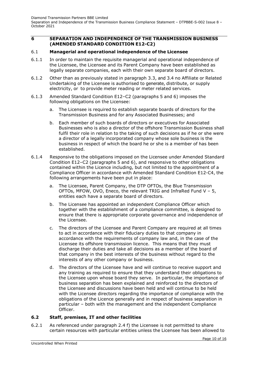#### <span id="page-9-0"></span>**6 SEPARATION AND INDEPENDENCE OF THE TRANSMISSION BUSINESS (AMENDED STANDARD CONDITION E12-C2)**

#### 6.1 **Managerial and operational independence of the Licensee**

- 6.1.1 In order to maintain the requisite managerial and operational independence of the Licensee, the Licensee and its Parent Company have been established as legally separate companies, each with their own separate board of directors.
- 6.1.2 Other than as previously stated in paragraph 3.3, and 3.4 no Affiliate or Related Undertaking of the Licensee is authorised to generate, distribute, or supply electricity, or to provide meter reading or meter related services.
- 6.1.3 Amended Standard Condition E12–C2 (paragraphs 5 and 6) imposes the following obligations on the Licensee:
	- a. The Licensee is required to establish separate boards of directors for the Transmission Business and for any Associated Businesses; and
	- b. Each member of such boards of directors or executives for Associated Businesses who is also a director of the offshore Transmission Business shall fulfil their role in relation to the taking of such decisions as if he or she were a director of a legally incorporated company whose sole business is the business in respect of which the board he or she is a member of has been established.
- 6.1.4 Responsive to the obligations imposed on the Licensee under Amended Standard Condition E12–C2 (paragraphs 5 and 6), and responsive to other obligations contained within the Licence including, but not limited to the appointment of a Compliance Officer in accordance with Amended Standard Condition E12-C4, the following arrangements have been put in place:
	- a. The Licensee, Parent Company, the DTP OFTOs, the Blue Transmission OFTOs, MFOW, OVO, Eneco, the relevant TRIG and InfraRed Fund V – 5, entities each have a separate board of directors.
	- b. The Licensee has appointed an independent Compliance Officer which together with the establishment of a compliance committee, is designed to ensure that there is appropriate corporate governance and independence of the Licensee.
	- c. The directors of the Licensee and Parent Company are required at all times to act in accordance with their fiduciary duties to that company in accordance with the requirements of company law and, in the case of the Licensee its offshore transmission licence. This means that they must discharge their duties and take all decisions as a member of the board of that company in the best interests of the business without regard to the interests of any other company or business.
	- d. The directors of the Licensee have and will continue to receive support and any training as required to ensure that they understand their obligations to the Licensee upon whose board they serve. In particular, the importance of business separation has been explained and reinforced to the directors of the Licensee and discussions have been held and will continue to be held with the Licensee directors regarding the importance of compliance with the obligations of the Licence generally and in respect of business separation in particular – both with the management and the independent Compliance Officer.

#### **6.2 Staff, premises, IT and other facilities**

6.2.1 As referenced under paragraph 2.4 f) the Licensee is not permitted to share certain resources with particular entities unless the Licensee has been allowed to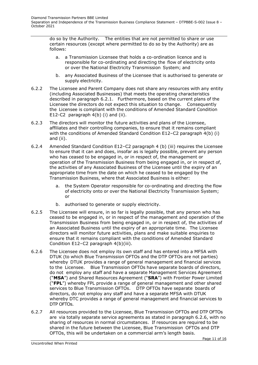do so by the Authority. The entities that are not permitted to share or use certain resources (except where permitted to do so by the Authority) are as follows:

- a. a Transmission Licensee that holds a co-ordination licence and is responsible for co-ordinating and directing the flow of electricity onto or over the National Electricity Transmission System; and
- b. any Associated Business of the Licensee that is authorised to generate or supply electricity.
- 6.2.2 The Licensee and Parent Company does not share any resources with any entity (including Associated Businesses) that meets the operating characteristics described in paragraph 6.2.1. Furthermore, based on the current plans of the Licensee the directors do not expect this situation to change. Consequently the Licensee is compliant with the conditions of Amended Standard Condition E12-C2 paragraph 4(b) (i) and (ii).
- 6.2.3 The directors will monitor the future activities and plans of the Licensee, affiliates and their controlling companies, to ensure that it remains compliant with the conditions of Amended Standard Condition E12–C2 paragraph 4(b) (i) and (ii).
- 6.2.4 Amended Standard Condition E12–C2 paragraph 4 (b) (iii) requires the Licensee to ensure that it can and does, insofar as is legally possible, prevent any person who has ceased to be engaged in, or in respect of, the management or operation of the Transmission Business from being engaged in, or in respect of, the activities of any Associated Business of the Licensee until the expiry of an appropriate time from the date on which he ceased to be engaged by the Transmission Business, where that Associated Business is either:
	- a. the System Operator responsible for co-ordinating and directing the flow of electricity onto or over the National Electricity Transmission System; or
	- b. authorised to generate or supply electricity.
- 6.2.5 The Licensee will ensure, in so far is legally possible, that any person who has ceased to be engaged in, or in respect of the management and operation of the Transmission Business from being engaged in, or in respect of, the activities of an Associated Business until the expiry of an appropriate time. The Licensee directors will monitor future activities, plans and make suitable enquiries to ensure that it remains compliant with the conditions of Amended Standard Condition E12–C2 paragraph 4(b)(iii).
- 6.2.6 The Licensee does not employ its own staff and has entered into a MFSA with DTUK (to which Blue Transmission OFTOs and the DTP OFTOs are not parties) whereby DTUK provides a range of general management and financial services to the Licensee. Blue Transmission OFTOs have separate boards of directors, do not employ any staff and have a separate Management Services Agreement ("**MSA**") and Shared Resources Agreement ("**SRA**") with Frontier Power Limited ("**FPL**") whereby FPL provide a range of general management and other shared services to Blue Transmission OFTOs. DTP OFTOs have separate boards of directors, do not employ any staff and have a separate MFSA with DTUK whereby DTC provides a range of general management and financial services to DTP OFTOs.
- 6.2.7 All resources provided to the Licensee, Blue Transmission OFTOs and DTP OFTOs are via totally separate service agreements as stated in paragraph 6.2.6, with no sharing of resources in normal circumstances. If resources are required to be shared in the future between the Licensee, Blue Transmission OFTOs and DTP OFTOs, this will be undertaken on a commercial arm's length basis.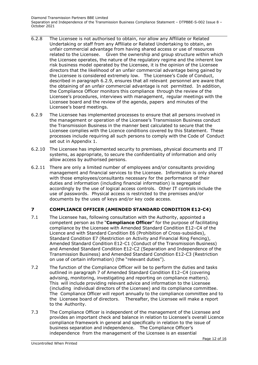- 6.2.8 The Licensee is not authorised to obtain, nor allow any Affiliate or Related Undertaking or staff from any Affiliate or Related Undertaking to obtain, an unfair commercial advantage from having shared access or use of resources related to the Licensee. Given the ownership and group structure within which the Licensee operates, the nature of the regulatory regime and the inherent low risk business model operated by the Licensee, it is the opinion of the Licensee directors that the likelihood of an unfair commercial advantage being gained by the Licensee is considered extremely low. The Licensee's Code of Conduct, described in paragraph 6.2.9, ensures that all relevant personnel are aware that the obtaining of an unfair commercial advantage is not permitted. In addition, the Compliance Officer monitors this compliance through the review of the Licensee's procedures, interviews with management, regular meetings with the Licensee board and the review of the agenda, papers and minutes of the Licensee's board meetings.
- 6.2.9 The Licensee has implemented processes to ensure that all persons involved in the management or operation of the Licensee's Transmission Business conduct the Transmission Business in the manner best calculated to secure that the Licensee complies with the Licence conditions covered by this Statement. These processes include requiring all such persons to comply with the Code of Conduct set out in Appendix 1.
- 6.2.10 The Licensee has implemented security to premises, physical documents and IT systems, as appropriate, to secure the confidentiality of information and only allow access by authorised persons.
- 6.2.11 There are only a limited number of employees and/or consultants providing management and financial services to the Licensee. Information is only shared with those employees/consultants necessary for the performance of their duties and information (including financial information) is segregated accordingly by the use of logical access controls. Other IT controls include the use of passwords. Physical access is restricted to the premises and/or documents by the uses of keys and/or key code access.

## <span id="page-11-0"></span>**7 COMPLIANCE OFFICER (AMENDED STANDARD CONDITION E12-C4)**

- 7.1 The Licensee has, following consultation with the Authority, appointed a competent person as the "**Compliance Officer**" for the purpose of facilitating compliance by the Licensee with Amended Standard Condition E12–C4 of the Licence and with Standard Condition E6 (Prohibition of Cross-subsidies), Standard Condition E7 (Restriction on Activity and Financial Ring Fencing), Amended Standard Condition E12-C1 (Conduct of the Transmission Business) and Amended Standard Condition E12-C2 (Separation and Independence of the Transmission Business) and Amended Standard Condition E12-C3 (Restriction on use of certain information) (the "relevant duties").
- 7.2 The function of the Compliance Officer will be to perform the duties and tasks outlined in paragraph 7 of Amended Standard Condition E12–C4 (covering advising, monitoring, investigating and reporting on compliance matters). This will include providing relevant advice and information to the Licensee (including individual directors of the Licensee) and its compliance committee. The Compliance Officer will report annually to the compliance committee and to the Licensee board of directors. Thereafter, the Licensee will make a report to the Authority.
- 7.3 The Compliance Officer is independent of the management of the Licensee and provides an important check and balance in relation to Licensee's overall Licence compliance framework in general and specifically in relation to the issue of business separation and independence. The Compliance Officer's independence from the management of the Licensee is an essential

Page 12 of 16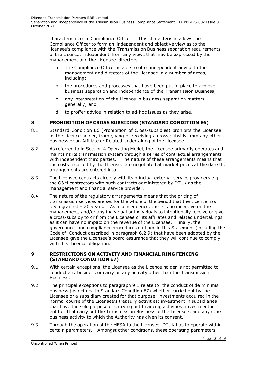characteristic of a Compliance Officer. This characteristic allows the Compliance Officer to form an independent and objective view as to the licensee's compliance with the Transmission Business separation requirements of the Licence; independent from any views that may be expressed by the management and the Licensee directors.

- a. The Compliance Officer is able to offer independent advice to the management and directors of the Licensee in a number of areas, including:
- b. the procedures and processes that have been put in place to achieve business separation and independence of the Transmission Business;
- c. any interpretation of the Licence in business separation matters generally; and
- d. to proffer advice in relation to ad-hoc issues as they arise.

## <span id="page-12-0"></span>**8 PROHIBITION OF CROSS SUBSIDIES (STANDARD CONDITION E6)**

- 8.1 Standard Condition E6 (Prohibition of Cross-subsidies) prohibits the Licensee as the Licence holder, from giving or receiving a cross-subsidy from any other business or an Affiliate or Related Undertaking of the Licensee.
- 8.2 As referred to in Section 4 Operating Model, the Licensee primarily operates and maintains its transmission system through a series of contractual arrangements with independent third parties. The nature of these arrangements means that the costs incurred by the Licensee are negotiated at market prices at the date the arrangements are entered into.
- 8.3 The Licensee contracts directly with its principal external service providers e.g. the O&M contractors with such contracts administered by DTUK as the management and financial service provider.
- 8.4 The nature of the regulatory arrangements means that the pricing of transmission services are set for the whole of the period that the Licence has been granted – 20 years. As a consequence, there is no incentive on the management, and/or any individual or individuals to intentionally receive or give a cross-subsidy to or from the Licensee or its affiliates and related undertakings as it can have no impact on the revenue of the Licensee. Finally, the governance and compliance procedures outlined in this Statement (including the Code of Conduct described in paragraph 6.2.9) that have been adopted by the Licensee give the Licensee's board assurance that they will continue to comply with this Licence obligation.

#### <span id="page-12-1"></span>**9 RESTRICTIONS ON ACTIVITY AND FINANCIAL RING FENCING (STANDARD CONDITION E7)**

- 9.1 With certain exceptions, the Licensee as the Licence holder is not permitted to conduct any business or carry on any activity other than the Transmission Business.
- 9.2 The principal exceptions to paragraph 9.1 relate to: the conduct of de minimis business (as defined in Standard Condition E7) whether carried out by the Licensee or a subsidiary created for that purpose; investments acquired in the normal course of the Licensee's treasury activities; investment in subsidiaries that have the sole purpose of carrying out financing activities; investment in entities that carry out the Transmission Business of the Licensee; and any other business activity to which the Authority has given its consent.
- 9.3 Through the operation of the MFSA to the Licensee, DTUK has to operate within certain parameters. Amongst other conditions, these operating parameters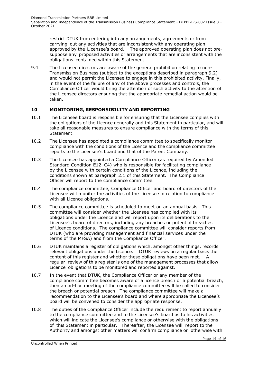restrict DTUK from entering into any arrangements, agreements or from carrying out any activities that are inconsistent with any operating plan approved by the Licensee's board. The approved operating plan does not presuppose any proposed activities or arrangements that are inconsistent with the obligations contained within this Statement.

9.4 The Licensee directors are aware of the general prohibition relating to non-Transmission Business (subject to the exceptions described in paragraph 9.2) and would not permit the Licensee to engage in this prohibited activity. Finally, in the event of the failure of any of the above processes and controls, the Compliance Officer would bring the attention of such activity to the attention of the Licensee directors ensuring that the appropriate remedial action would be taken.

## <span id="page-13-0"></span>**10 MONITORING, RESPONSIBILITY AND REPORTING**

- 10.1 The Licensee board is responsible for ensuring that the Licensee complies with the obligations of the Licence generally and this Statement in particular, and will take all reasonable measures to ensure compliance with the terms of this Statement.
- 10.2 The Licensee has appointed a compliance committee to specifically monitor compliance with the conditions of the Licence and the compliance committee reports to the Licensee's board and that of the Parent Company.
- 10.3 The Licensee has appointed a Compliance Officer (as required by Amended Standard Condition E12–C4) who is responsible for facilitating compliance by the Licensee with certain conditions of the Licence, including the conditions shown at paragraph 2.1 of this Statement. The Compliance Officer will report to the compliance committee.
- 10.4 The compliance committee, Compliance Officer and board of directors of the Licensee will monitor the activities of the Licensee in relation to compliance with all Licence obligations.
- 10.5 The compliance committee is scheduled to meet on an annual basis. This committee will consider whether the Licensee has complied with its obligations under the Licence and will report upon its deliberations to the Licensee's board of directors, including any breaches or potential breaches of Licence conditions. The compliance committee will consider reports from DTUK (who are providing management and financial services under the terms of the MFSA) and from the Compliance Officer.
- 10.6 DTUK maintains a register of obligations which, amongst other things, records relevant obligations under the Licence. DTUK reviews on a regular basis the content of this register and whether these obligations have been met. A regular review of this register is one of the management processes that allow Licence obligations to be monitored and reported against.
- 10.7 In the event that DTUK, the Compliance Officer or any member of the compliance committee becomes aware of a licence breach or a potential breach, then an ad-hoc meeting of the compliance committee will be called to consider the breach or potential breach. The compliance committee will make a recommendation to the Licensee's board and where appropriate the Licensee's board will be convened to consider the appropriate response.
- 10.8 The duties of the Compliance Officer include the requirement to report annually to the compliance committee and to the Licensee's board as to his activities which will indicate the Licensee's compliance or otherwise with the obligations of this Statement in particular. Thereafter, the Licensee will report to the Authority and amongst other matters will confirm compliance or otherwise with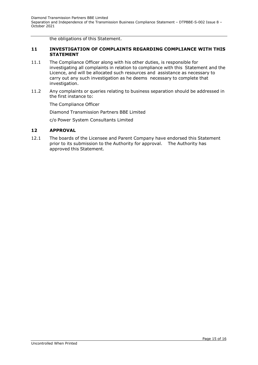the obligations of this Statement.

#### <span id="page-14-0"></span>**11 INVESTIGATION OF COMPLAINTS REGARDING COMPLIANCE WITH THIS STATEMENT**

- 11.1 The Compliance Officer along with his other duties, is responsible for investigating all complaints in relation to compliance with this Statement and the Licence, and will be allocated such resources and assistance as necessary to carry out any such investigation as he deems necessary to complete that investigation.
- 11.2 Any complaints or queries relating to business separation should be addressed in the first instance to:

The Compliance Officer

Diamond Transmission Partners BBE Limited

c/o Power System Consultants Limited

#### <span id="page-14-1"></span>**12 APPROVAL**

12.1 The boards of the Licensee and Parent Company have endorsed this Statement prior to its submission to the Authority for approval. The Authority has approved this Statement.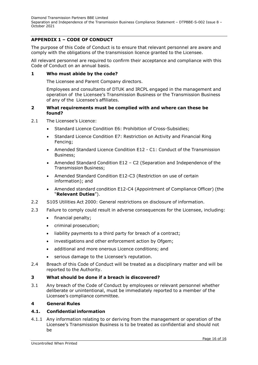# <span id="page-15-0"></span>**APPENDIX 1 – CODE OF CONDUCT**

The purpose of this Code of Conduct is to ensure that relevant personnel are aware and comply with the obligations of the transmission licence granted to the Licensee.

All relevant personnel are required to confirm their acceptance and compliance with this Code of Conduct on an annual basis.

#### **1 Who must abide by the code?**

The Licensee and Parent Company directors.

Employees and consultants of DTUK and IRCPL engaged in the management and operation of the Licensee's Transmission Business or the Transmission Business of any of the Licensee's affiliates.

#### **2 What requirements must be complied with and where can these be found?**

- 2.1 The Licensee's Licence:
	- Standard Licence Condition E6: Prohibition of Cross-Subsidies;
	- Standard Licence Condition E7: Restriction on Activity and Financial Ring Fencing;
	- Amended Standard Licence Condition E12 C1: Conduct of the Transmission Business;
	- Amended Standard Condition E12 C2 (Separation and Independence of the Transmission Business;
	- Amended Standard Condition E12-C3 (Restriction on use of certain information); and
	- Amended standard condition E12-C4 (Appointment of Compliance Officer) (the "**Relevant Duties**").
- 2.2 S105 Utilities Act 2000: General restrictions on disclosure of information.
- 2.3 Failure to comply could result in adverse consequences for the Licensee, including:
	- financial penalty;
	- criminal prosecution;
	- liability payments to a third party for breach of a contract;
	- investigations and other enforcement action by Ofgem;
	- additional and more onerous Licence conditions; and
	- serious damage to the Licensee's reputation.
- 2.4 Breach of this Code of Conduct will be treated as a disciplinary matter and will be reported to the Authority.

## **3 What should be done if a breach is discovered?**

3.1 Any breach of the Code of Conduct by employees or relevant personnel whether deliberate or unintentional, must be immediately reported to a member of the Licensee's compliance committee.

#### **4 General Rules**

#### **4.1. Confidential information**

4.1.1 Any information relating to or deriving from the management or operation of the Licensee's Transmission Business is to be treated as confidential and should not be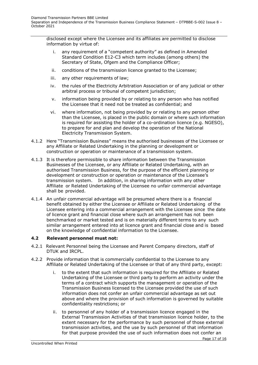disclosed except where the Licensee and its affiliates are permitted to disclose information by virtue of:

- i. any requirement of a "competent authority" as defined in Amended Standard Condition E12-C3 which term includes (among others) the Secretary of State, Ofgem and the Compliance Officer;
- ii. conditions of the transmission licence granted to the Licensee;
- iii. any other requirements of law;
- iv. the rules of the Electricity Arbitration Association or of any judicial or other arbitral process or tribunal of competent jurisdiction;
- v. information being provided by or relating to any person who has notified the Licensee that it need not be treated as confidential; and
- vi. where information, not being provided by or relating to any person other than the Licensee, is placed in the public domain or where such information is required for assisting the holder of a co-ordination licence (e.g. NGESO), to prepare for and plan and develop the operation of the National Electricity Transmission System.
- 4.1.2 Here "Transmission Business" means the authorised businesses of the Licensee or any Affiliate or Related Undertaking in the planning or development or construction or operation or maintenance of a transmission system.
- 4.1.3 It is therefore permissible to share information between the Transmission Businesses of the Licensee, or any Affiliate or Related Undertaking, with an authorised Transmission Business, for the purpose of the efficient planning or development or construction or operation or maintenance of the Licensee's transmission system. In addition, in sharing information with any other Affiliate or Related Undertaking of the Licensee no unfair commercial advantage shall be provided.
- 4.1.4 An unfair commercial advantage will be presumed where there is a financial benefit obtained by either the Licensee or Affiliate or Related Undertaking of the Licensee entering into a commercial arrangement with the Licensee since the date of licence grant and financial close where such an arrangement has not been benchmarked or market tested and is on materially different terms to any such similar arrangement entered into at licence grant and financial close and is based on the knowledge of confidential information to the Licensee.

## **4.2 Relevant personnel must not:**

- 4.2.1 Relevant Personnel being the Licensee and Parent Company directors, staff of DTUK and IRCPL.
- 4.2.2 Provide information that is commercially confidential to the Licensee to any Affiliate or Related Undertaking of the Licensee or that of any third party, except:
	- i. to the extent that such information is required for the Affiliate or Related Undertaking of the Licensee or third party to perform an activity under the terms of a contract which supports the management or operation of the Transmission Business licensed to the Licensee provided the use of such information does not confer an unfair commercial advantage as set out above and where the provision of such information is governed by suitable confidentiality restrictions; or
	- ii. to personnel of any holder of a transmission licence engaged in the External Transmission Activities of that transmission licence holder, to the extent necessary for the performance by such personnel of those external transmission activities, and the use by such personnel of that information for that purpose provided the use of such information does not confer an